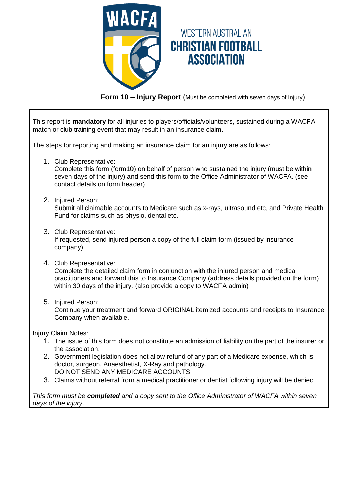

**Form 10 – Injury Report** (Must be completed with seven days of Injury)

This report is **mandatory** for all injuries to players/officials/volunteers, sustained during a WACFA match or club training event that may result in an insurance claim.

The steps for reporting and making an insurance claim for an injury are as follows:

1. Club Representative:

Complete this form (form10) on behalf of person who sustained the injury (must be within seven days of the injury) and send this form to the Office Administrator of WACFA. (see contact details on form header)

2. Injured Person:

Submit all claimable accounts to Medicare such as x-rays, ultrasound etc, and Private Health Fund for claims such as physio, dental etc.

3. Club Representative:

If requested, send injured person a copy of the full claim form (issued by insurance company).

4. Club Representative:

Complete the detailed claim form in conjunction with the injured person and medical practitioners and forward this to Insurance Company (address details provided on the form) within 30 days of the injury. (also provide a copy to WACFA admin)

5. Injured Person:

Continue your treatment and forward ORIGINAL itemized accounts and receipts to Insurance Company when available.

Injury Claim Notes:

- 1. The issue of this form does not constitute an admission of liability on the part of the insurer or the association.
- 2. Government legislation does not allow refund of any part of a Medicare expense, which is doctor, surgeon, Anaesthetist, X-Ray and pathology. DO NOT SEND ANY MEDICARE ACCOUNTS.
- 3. Claims without referral from a medical practitioner or dentist following injury will be denied.

*This form must be completed and a copy sent to the Office Administrator of WACFA within seven days of the injury.*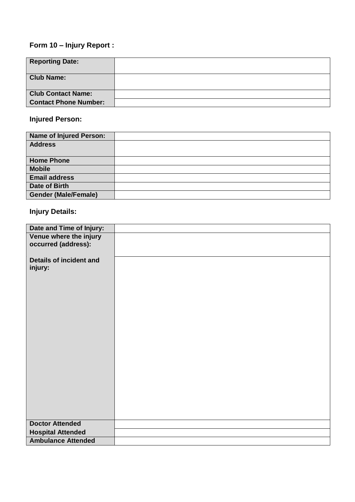# **Form 10 – Injury Report :**

| <b>Reporting Date:</b>       |  |
|------------------------------|--|
| <b>Club Name:</b>            |  |
| <b>Club Contact Name:</b>    |  |
| <b>Contact Phone Number:</b> |  |

# **Injured Person:**

| <b>Name of Injured Person:</b> |  |
|--------------------------------|--|
| <b>Address</b>                 |  |
|                                |  |
| <b>Home Phone</b>              |  |
| <b>Mobile</b>                  |  |
| <b>Email address</b>           |  |
| Date of Birth                  |  |
| <b>Gender (Male/Female)</b>    |  |

# **Injury Details:**

| Date and Time of Injury:                      |  |
|-----------------------------------------------|--|
| Venue where the injury<br>occurred (address): |  |
| <b>Details of incident and</b><br>injury:     |  |
|                                               |  |
| <b>Doctor Attended</b>                        |  |
| <b>Hospital Attended</b>                      |  |
| <b>Ambulance Attended</b>                     |  |